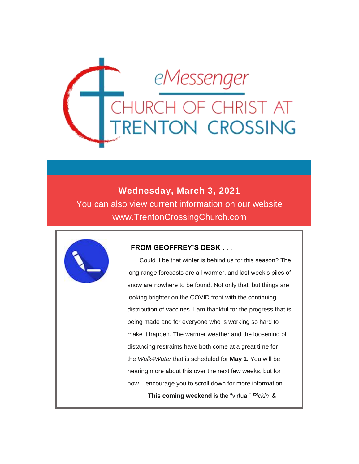

### **Wednesday, March 3, 2021**

You can also view current information on our website www.TrentonCrossingChurch.com



### **FROM GEOFFREY'S DESK . . .**

 Could it be that winter is behind us for this season? The long-range forecasts are all warmer, and last week's piles of snow are nowhere to be found. Not only that, but things are looking brighter on the COVID front with the continuing distribution of vaccines. I am thankful for the progress that is being made and for everyone who is working so hard to make it happen. The warmer weather and the loosening of distancing restraints have both come at a great time for the *Walk4Water* that is scheduled for **May 1.** You will be hearing more about this over the next few weeks, but for now, I encourage you to scroll down for more information. **This coming weekend** is the "virtual" *Pickin' &*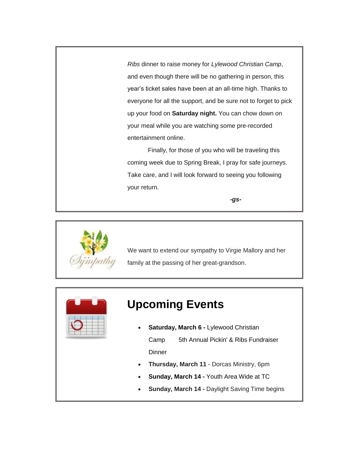*Ribs* dinner to raise money for *Lylewood Christian Camp*, and even though there will be no gathering in person, this year's ticket sales have been at an all-time high. Thanks to everyone for all the support, and be sure not to forget to pick up your food on **Saturday night.** You can chow down on your meal while you are watching some pre-recorded entertainment online.

 Finally, for those of you who will be traveling this coming week due to Spring Break, I pray for safe journeys. Take care, and I will look forward to seeing you following your return.

*-gs-*



We want to extend our sympathy to Virgie Mallory and her family at the passing of her great-grandson.



# **Upcoming Events**

- **Saturday, March 6 -** Lylewood Christian Camp 5th Annual Pickin' & Ribs Fundraiser **Dinner**
- **Thursday, March 11** Dorcas Ministry, 6pm
- **Sunday, March 14 -** Youth Area Wide at TC
- **Sunday, March 14 -** Daylight Saving Time begins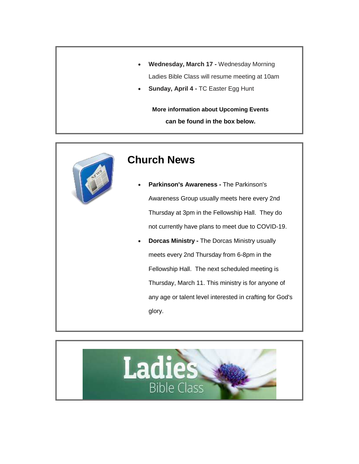- **Wednesday, March 17 -** Wednesday Morning Ladies Bible Class will resume meeting at 10am
- **Sunday, April 4 -** TC Easter Egg Hunt

**More information about Upcoming Events can be found in the box below.**



## **Church News**

- **Parkinson's Awareness -** The Parkinson's Awareness Group usually meets here every 2nd Thursday at 3pm in the Fellowship Hall. They do not currently have plans to meet due to COVID-19.
- **Dorcas Ministry -** The Dorcas Ministry usually meets every 2nd Thursday from 6-8pm in the Fellowship Hall. The next scheduled meeting is Thursday, March 11. This ministry is for anyone of any age or talent level interested in crafting for God's glory.

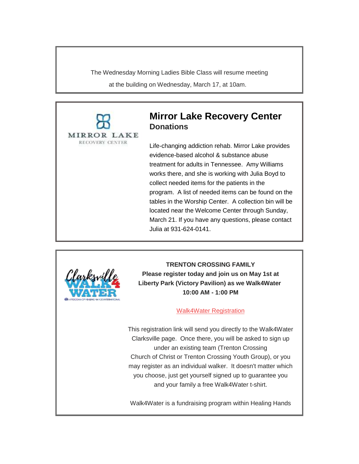The Wednesday Morning Ladies Bible Class will resume meeting at the building on Wednesday, March 17, at 10am.



### **Mirror Lake Recovery Center Donations**

Life-changing addiction rehab. Mirror Lake provides evidence-based alcohol & substance abuse treatment for adults in Tennessee. Amy Williams works there, and she is working with Julia Boyd to collect needed items for the patients in the program. A list of needed items can be found on the tables in the Worship Center. A collection bin will be located near the Welcome Center through Sunday, March 21. If you have any questions, please contact Julia at 931-624-0141.



**TRENTON CROSSING FAMILY Please register today and join us on May 1st at Liberty Park (Victory Pavilion) as we Walk4Water 10:00 AM - 1:00 PM**

#### [Walk4Water Registration](https://www.hhi.org/walk4water/clarksville-tn-2021)

This registration link will send you directly to the Walk4Water Clarksville page. Once there, you will be asked to sign up under an existing team (Trenton Crossing Church of Christ or Trenton Crossing Youth Group), or you may register as an individual walker. It doesn't matter which you choose, just get yourself signed up to guarantee you and your family a free Walk4Water t-shirt.

Walk4Water is a fundraising program within Healing Hands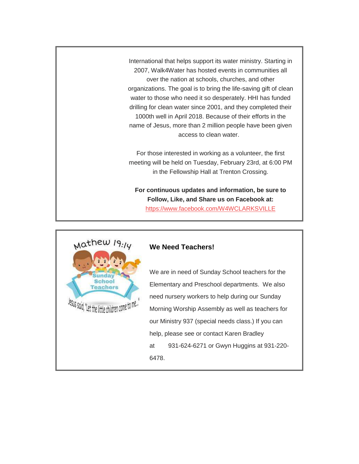International that helps support its water ministry. Starting in 2007, Walk4Water has hosted events in communities all over the nation at schools, churches, and other organizations. The goal is to bring the life-saving gift of clean water to those who need it so desperately. HHI has funded drilling for clean water since 2001, and they completed their 1000th well in April 2018. Because of their efforts in the name of Jesus, more than 2 million people have been given access to clean water.

For those interested in working as a volunteer, the first meeting will be held on Tuesday, February 23rd, at 6:00 PM in the Fellowship Hall at Trenton Crossing.

**For continuous updates and information, be sure to Follow, Like, and Share us on Facebook at:** <https://www.facebook.com/W4WCLARKSVILLE>



#### **We Need Teachers!**

We are in need of Sunday School teachers for the Elementary and Preschool departments. We also need nursery workers to help during our Sunday Morning Worship Assembly as well as teachers for our Ministry 937 (special needs class.) If you can help, please see or contact Karen Bradley at 931-624-6271 or Gwyn Huggins at 931-220- 6478.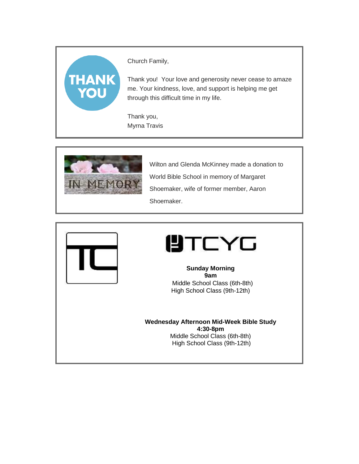# **THANK** YOU

Church Family,

Thank you! Your love and generosity never cease to amaze me. Your kindness, love, and support is helping me get through this difficult time in my life.

Thank you, Myrna Travis



Wilton and Glenda McKinney made a donation to World Bible School in memory of Margaret Shoemaker, wife of former member, Aaron Shoemaker.





**Sunday Morning 9am** Middle School Class (6th-8th) High School Class (9th-12th)

**Wednesday Afternoon Mid-Week Bible Study 4:30-8pm** Middle School Class (6th-8th) High School Class (9th-12th)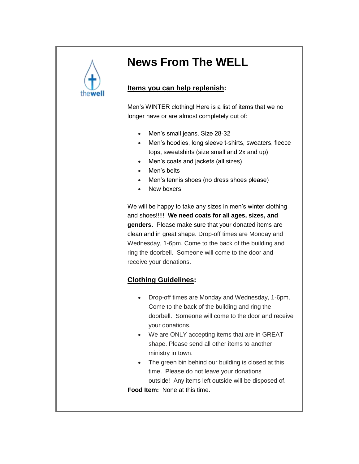

# **News From The WELL**

### **Items you can help replenish:**

Men's WINTER clothing! Here is a list of items that we no longer have or are almost completely out of:

- Men's small jeans. Size 28-32
- Men's hoodies, long sleeve t-shirts, sweaters, fleece tops, sweatshirts (size small and 2x and up)
- Men's coats and jackets (all sizes)
- Men's belts
- Men's tennis shoes (no dress shoes please)
- New boxers

We will be happy to take any sizes in men's winter clothing and shoes!!!!! **We need coats for all ages, sizes, and genders.** Please make sure that your donated items are clean and in great shape. Drop-off times are Monday and Wednesday, 1-6pm. Come to the back of the building and ring the doorbell. Someone will come to the door and receive your donations.

### **Clothing Guidelines:**

- Drop-off times are Monday and Wednesday, 1-6pm. Come to the back of the building and ring the doorbell. Someone will come to the door and receive your donations.
- We are ONLY accepting items that are in GREAT shape. Please send all other items to another ministry in town.
- The green bin behind our building is closed at this time. Please do not leave your donations outside! Any items left outside will be disposed of. **Food Item:** None at this time.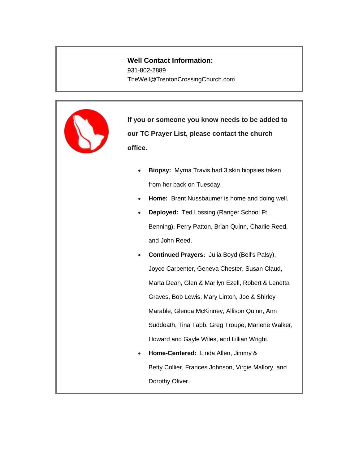### **Well Contact Information:**

931-802-2889 TheWell@TrentonCrossingChurch.com



**If you or someone you know needs to be added to our TC Prayer List, please contact the church office.**

- **Biopsy:** Myrna Travis had 3 skin biopsies taken from her back on Tuesday.
- **Home:** Brent Nussbaumer is home and doing well.
- **Deployed:** Ted Lossing (Ranger School Ft. Benning), Perry Patton, Brian Quinn, Charlie Reed, and John Reed.
- **Continued Prayers:** Julia Boyd (Bell's Palsy), Joyce Carpenter, Geneva Chester, Susan Claud, Marta Dean, Glen & Marilyn Ezell, Robert & Lenetta Graves, Bob Lewis, Mary Linton, Joe & Shirley Marable, Glenda McKinney, Allison Quinn, Ann Suddeath, Tina Tabb, Greg Troupe, Marlene Walker, Howard and Gayle Wiles, and Lillian Wright.
- **Home-Centered:** Linda Allen, Jimmy & Betty Collier, Frances Johnson, Virgie Mallory, and Dorothy Oliver.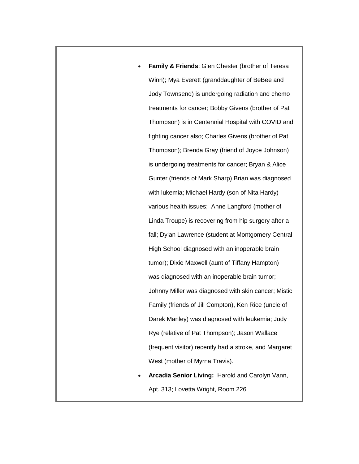- **Family & Friends**: Glen Chester (brother of Teresa Winn); Mya Everett (granddaughter of BeBee and Jody Townsend) is undergoing radiation and chemo treatments for cancer; Bobby Givens (brother of Pat Thompson) is in Centennial Hospital with COVID and fighting cancer also; Charles Givens (brother of Pat Thompson); Brenda Gray (friend of Joyce Johnson) is undergoing treatments for cancer; Bryan & Alice Gunter (friends of Mark Sharp) Brian was diagnosed with lukemia; Michael Hardy (son of Nita Hardy) various health issues; Anne Langford (mother of Linda Troupe) is recovering from hip surgery after a fall; Dylan Lawrence (student at Montgomery Central High School diagnosed with an inoperable brain tumor); Dixie Maxwell (aunt of Tiffany Hampton) was diagnosed with an inoperable brain tumor; Johnny Miller was diagnosed with skin cancer; Mistic Family (friends of Jill Compton), Ken Rice (uncle of Darek Manley) was diagnosed with leukemia; Judy Rye (relative of Pat Thompson); Jason Wallace (frequent visitor) recently had a stroke, and Margaret West (mother of Myrna Travis).
- **Arcadia Senior Living:** Harold and Carolyn Vann, Apt. 313; Lovetta Wright, Room 226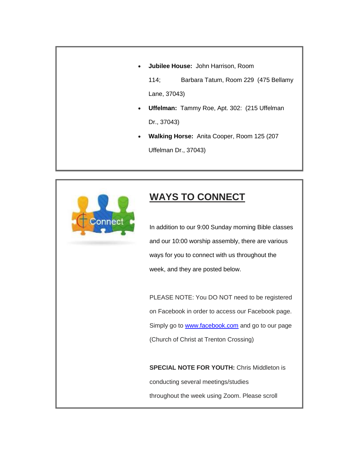**Jubilee House:** John Harrison, Room

114; Barbara Tatum, Room 229 (475 Bellamy Lane, 37043)

- **Uffelman:** Tammy Roe, Apt. 302: (215 Uffelman Dr., 37043)
- **Walking Horse:** Anita Cooper, Room 125 (207 Uffelman Dr., 37043)



# **WAYS TO CONNECT**

In addition to our 9:00 Sunday morning Bible classes and our 10:00 worship assembly, there are various ways for you to connect with us throughout the week, and they are posted below.

PLEASE NOTE: You DO NOT need to be registered on Facebook in order to access our Facebook page. Simply go to **[www.facebook.com](http://www.facebook.com/)** and go to our page (Church of Christ at Trenton Crossing)

**SPECIAL NOTE FOR YOUTH:** Chris Middleton is conducting several meetings/studies throughout the week using Zoom. Please scroll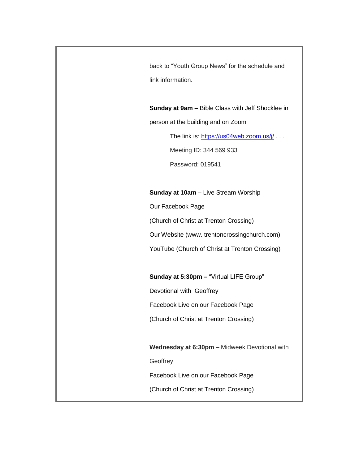back to "Youth Group News" for the schedule and link information.

**Sunday at 9am –** Bible Class with Jeff Shocklee in person at the building and on Zoom

The link is: <https://us04web.zoom.us/j/> . . .

Meeting ID: 344 569 933

Password: 019541

#### **Sunday at 10am –** Live Stream Worship

Our Facebook Page

(Church of Christ at Trenton Crossing)

Our Website (www. trentoncrossingchurch.com)

YouTube (Church of Christ at Trenton Crossing)

**Sunday at 5:30pm –** "Virtual LIFE Group"

Devotional with Geoffrey

Facebook Live on our Facebook Page

(Church of Christ at Trenton Crossing)

**Wednesday at 6:30pm –** Midweek Devotional with

**Geoffrey** 

Facebook Live on our Facebook Page

(Church of Christ at Trenton Crossing)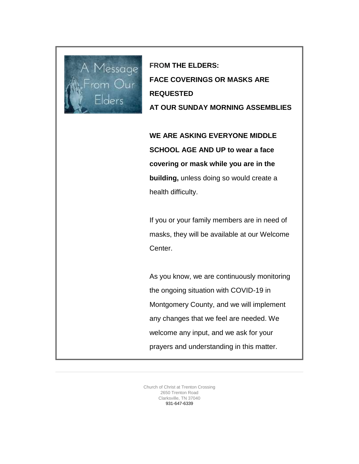

**FROM THE ELDERS: FACE COVERINGS OR MASKS ARE REQUESTED AT OUR SUNDAY MORNING ASSEMBLIES**

**WE ARE ASKING EVERYONE MIDDLE SCHOOL AGE AND UP to wear a face covering or mask while you are in the building,** unless doing so would create a health difficulty.

If you or your family members are in need of masks, they will be available at our Welcome Center.

As you know, we are continuously monitoring the ongoing situation with COVID-19 in Montgomery County, and we will implement any changes that we feel are needed. We welcome any input, and we ask for your prayers and understanding in this matter.

Church of Christ at Trenton Crossing 2650 Trenton Road Clarksville, TN 37040 931-647-6339